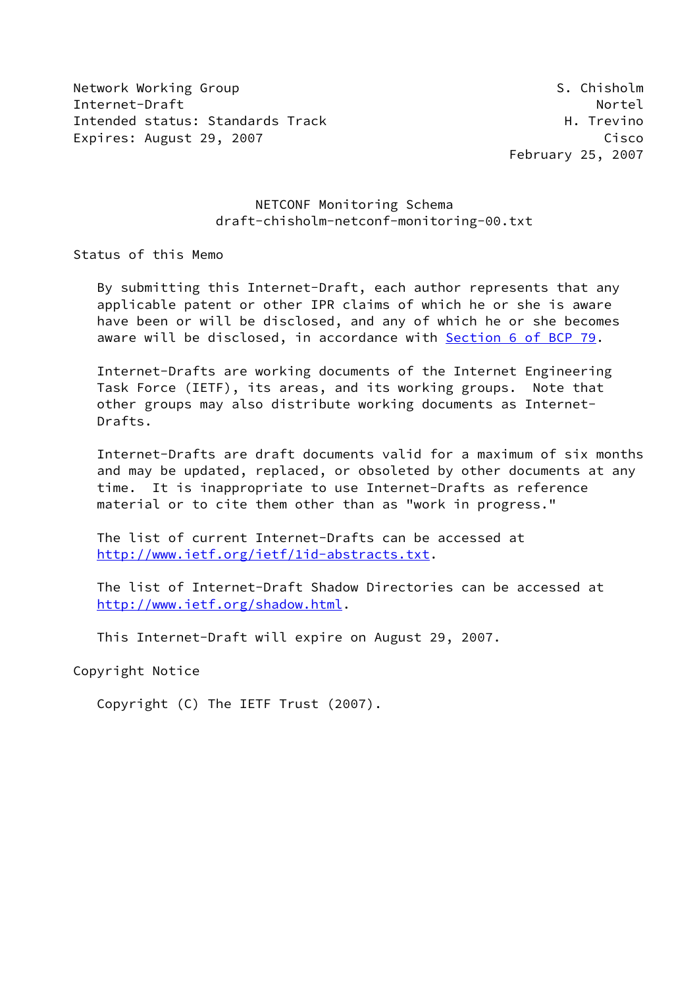Network Working Group States and the States of States of States and States and States of States and States and Internet-Draft Nortel Intended status: Standards Track H. Trevino Expires: August 29, 2007 Cisco

February 25, 2007

### NETCONF Monitoring Schema draft-chisholm-netconf-monitoring-00.txt

Status of this Memo

 By submitting this Internet-Draft, each author represents that any applicable patent or other IPR claims of which he or she is aware have been or will be disclosed, and any of which he or she becomes aware will be disclosed, in accordance with Section [6 of BCP 79.](https://datatracker.ietf.org/doc/pdf/bcp79#section-6)

 Internet-Drafts are working documents of the Internet Engineering Task Force (IETF), its areas, and its working groups. Note that other groups may also distribute working documents as Internet- Drafts.

 Internet-Drafts are draft documents valid for a maximum of six months and may be updated, replaced, or obsoleted by other documents at any time. It is inappropriate to use Internet-Drafts as reference material or to cite them other than as "work in progress."

 The list of current Internet-Drafts can be accessed at <http://www.ietf.org/ietf/1id-abstracts.txt>.

 The list of Internet-Draft Shadow Directories can be accessed at <http://www.ietf.org/shadow.html>.

This Internet-Draft will expire on August 29, 2007.

Copyright Notice

Copyright (C) The IETF Trust (2007).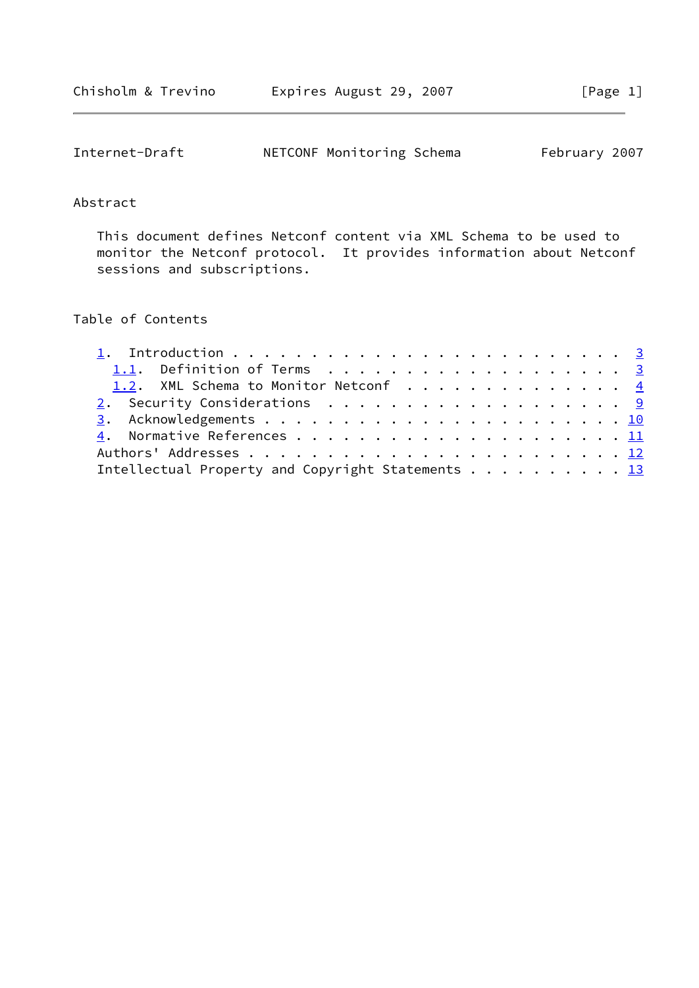| Internet-Draft | NETCONF Monitoring Schema | February 2007 |
|----------------|---------------------------|---------------|
|----------------|---------------------------|---------------|

#### Abstract

 This document defines Netconf content via XML Schema to be used to monitor the Netconf protocol. It provides information about Netconf sessions and subscriptions.

## Table of Contents

| 1.2. XML Schema to Monitor Netconf 4              |
|---------------------------------------------------|
|                                                   |
|                                                   |
|                                                   |
|                                                   |
| Intellectual Property and Copyright Statements 13 |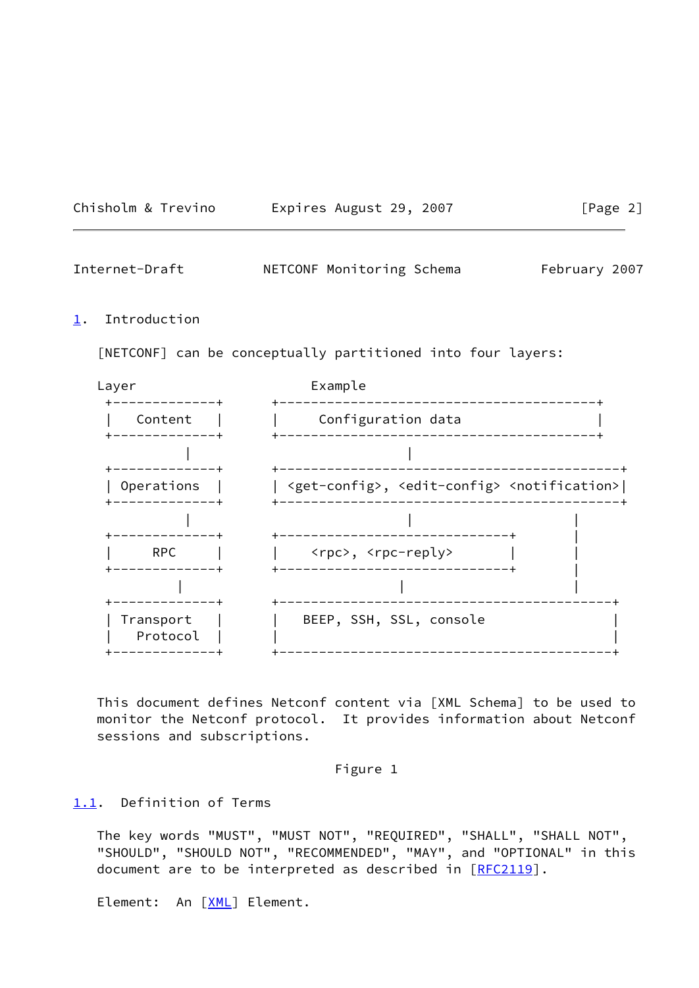| Chisholm & Trevino | Expires August 29, 2007 | [Page 2] |
|--------------------|-------------------------|----------|
|--------------------|-------------------------|----------|

<span id="page-2-1"></span>

| Internet-Draft | NETCONF Monitoring Schema | February 2007 |
|----------------|---------------------------|---------------|
|----------------|---------------------------|---------------|

#### <span id="page-2-0"></span>[1](#page-2-0). Introduction

[NETCONF] can be conceptually partitioned into four layers:



 This document defines Netconf content via [XML Schema] to be used to monitor the Netconf protocol. It provides information about Netconf sessions and subscriptions.

### Figure 1

#### <span id="page-2-2"></span>[1.1](#page-2-2). Definition of Terms

 The key words "MUST", "MUST NOT", "REQUIRED", "SHALL", "SHALL NOT", "SHOULD", "SHOULD NOT", "RECOMMENDED", "MAY", and "OPTIONAL" in this document are to be interpreted as described in [\[RFC2119](https://datatracker.ietf.org/doc/pdf/rfc2119)].

Element: An [\[XML](#page-11-2)] Element.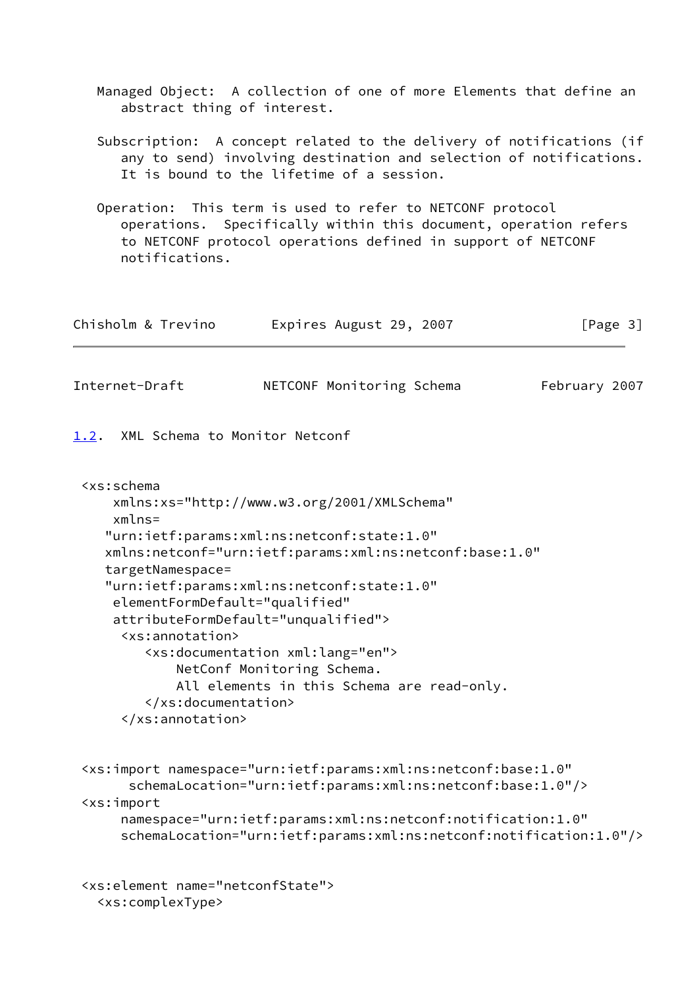Managed Object: A collection of one of more Elements that define an abstract thing of interest.

 Subscription: A concept related to the delivery of notifications (if any to send) involving destination and selection of notifications. It is bound to the lifetime of a session.

 Operation: This term is used to refer to NETCONF protocol operations. Specifically within this document, operation refers to NETCONF protocol operations defined in support of NETCONF notifications.

| Chisholm & Trevino | Expires August 29, 2007 | [Page 3] |
|--------------------|-------------------------|----------|
|                    |                         |          |

<span id="page-3-1"></span>Internet-Draft NETCONF Monitoring Schema February 2007

<span id="page-3-0"></span>[1.2](#page-3-0). XML Schema to Monitor Netconf

```
 <xs:schema
     xmlns:xs="http://www.w3.org/2001/XMLSchema"
     xmlns=
    "urn:ietf:params:xml:ns:netconf:state:1.0"
    xmlns:netconf="urn:ietf:params:xml:ns:netconf:base:1.0"
    targetNamespace=
    "urn:ietf:params:xml:ns:netconf:state:1.0"
     elementFormDefault="qualified"
     attributeFormDefault="unqualified">
      <xs:annotation>
         <xs:documentation xml:lang="en">
             NetConf Monitoring Schema.
             All elements in this Schema are read-only.
         </xs:documentation>
      </xs:annotation>
```
 <xs:import namespace="urn:ietf:params:xml:ns:netconf:base:1.0" schemaLocation="urn:ietf:params:xml:ns:netconf:base:1.0"/> <xs:import namespace="urn:ietf:params:xml:ns:netconf:notification:1.0" schemaLocation="urn:ietf:params:xml:ns:netconf:notification:1.0"/>

```
 <xs:element name="netconfState">
   <xs:complexType>
```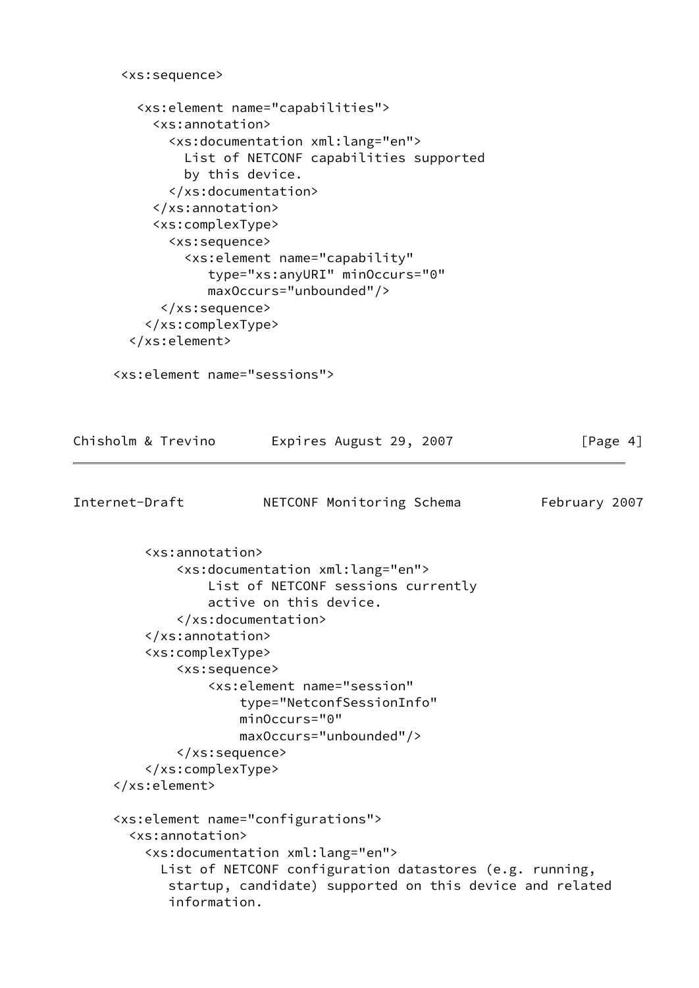```
 <xs:sequence>
         <xs:element name="capabilities">
           <xs:annotation>
             <xs:documentation xml:lang="en">
               List of NETCONF capabilities supported
               by this device.
             </xs:documentation>
           </xs:annotation>
           <xs:complexType>
             <xs:sequence>
               <xs:element name="capability"
                  type="xs:anyURI" minOccurs="0"
                  maxOccurs="unbounded"/>
            </xs:sequence>
          </xs:complexType>
        </xs:element>
      <xs:element name="sessions">
Chisholm & Trevino Expires August 29, 2007 [Page 4]
Internet-Draft NETCONF Monitoring Schema February 2007
          <xs:annotation>
              <xs:documentation xml:lang="en">
                  List of NETCONF sessions currently
                  active on this device.
              </xs:documentation>
          </xs:annotation>
          <xs:complexType>
              <xs:sequence>
                  <xs:element name="session"
                      type="NetconfSessionInfo"
                      minOccurs="0"
                      maxOccurs="unbounded"/>
              </xs:sequence>
          </xs:complexType>
      </xs:element>
      <xs:element name="configurations">
        <xs:annotation>
          <xs:documentation xml:lang="en">
            List of NETCONF configuration datastores (e.g. running,
             startup, candidate) supported on this device and related
             information.
```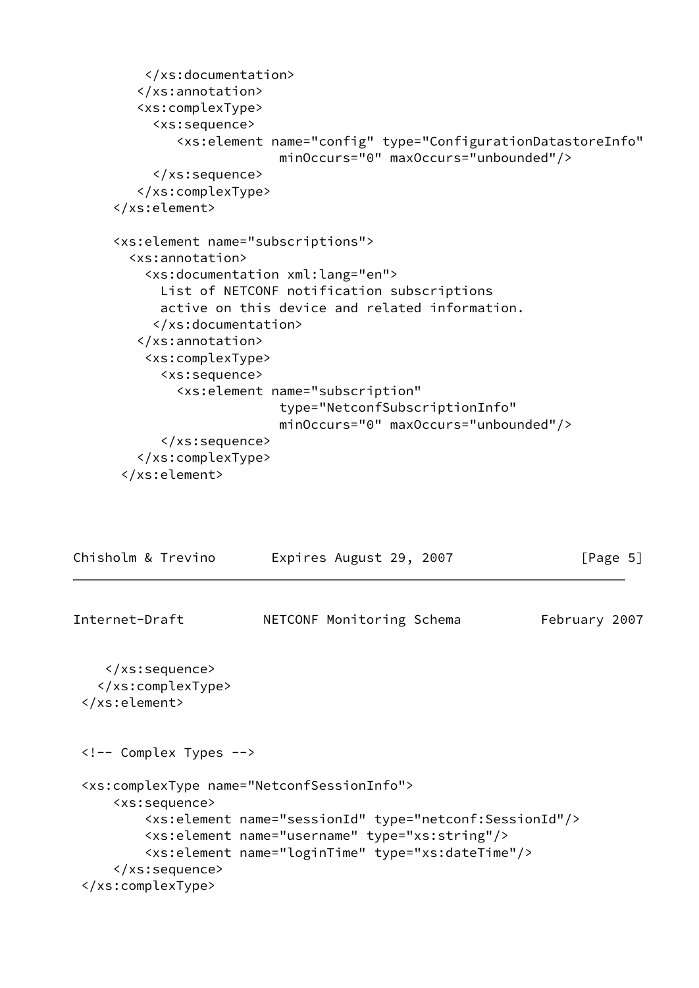```
 </xs:documentation>
         </xs:annotation>
         <xs:complexType>
           <xs:sequence>
              <xs:element name="config" type="ConfigurationDatastoreInfo"
                           minOccurs="0" maxOccurs="unbounded"/>
           </xs:sequence>
         </xs:complexType>
      </xs:element>
      <xs:element name="subscriptions">
        <xs:annotation>
          <xs:documentation xml:lang="en">
            List of NETCONF notification subscriptions
            active on this device and related information.
           </xs:documentation>
         </xs:annotation>
          <xs:complexType>
            <xs:sequence>
              <xs:element name="subscription"
                           type="NetconfSubscriptionInfo"
                           minOccurs="0" maxOccurs="unbounded"/>
            </xs:sequence>
         </xs:complexType>
       </xs:element>
Chisholm & Trevino Expires August 29, 2007 [Page 5]
```

```
Internet-Draft NETCONF Monitoring Schema February 2007
     </xs:sequence>
    </xs:complexType>
  </xs:element>
  <!-- Complex Types -->
  <xs:complexType name="NetconfSessionInfo">
      <xs:sequence>
          <xs:element name="sessionId" type="netconf:SessionId"/>
          <xs:element name="username" type="xs:string"/>
          <xs:element name="loginTime" type="xs:dateTime"/>
      </xs:sequence>
  </xs:complexType>
```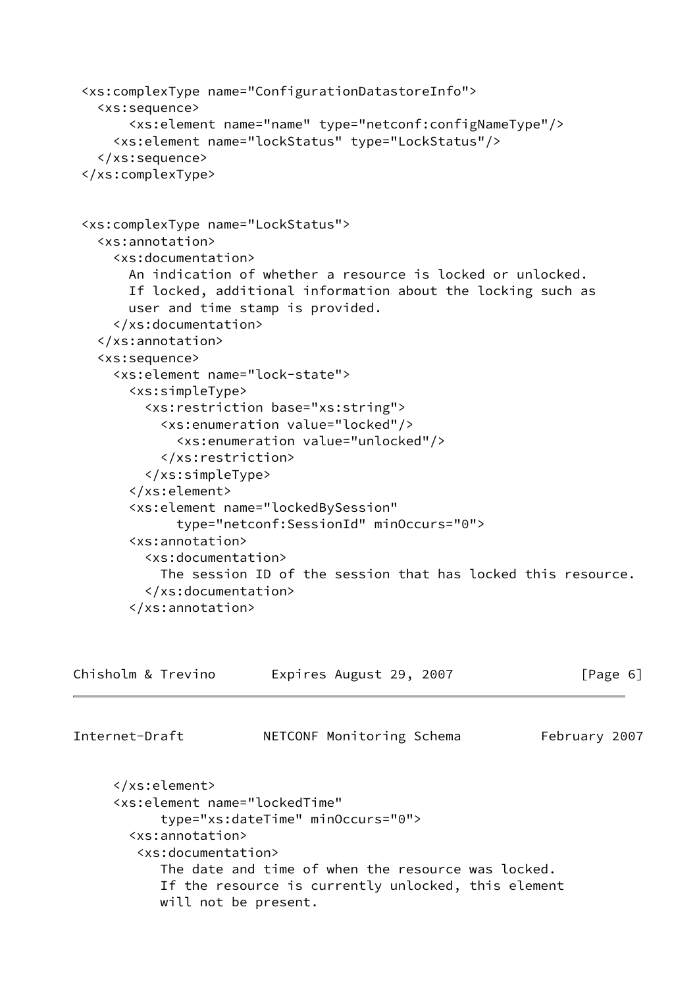```
 <xs:complexType name="ConfigurationDatastoreInfo">
    <xs:sequence>
        <xs:element name="name" type="netconf:configNameType"/>
      <xs:element name="lockStatus" type="LockStatus"/>
    </xs:sequence>
  </xs:complexType>
  <xs:complexType name="LockStatus">
    <xs:annotation>
      <xs:documentation>
        An indication of whether a resource is locked or unlocked.
        If locked, additional information about the locking such as
        user and time stamp is provided.
      </xs:documentation>
    </xs:annotation>
    <xs:sequence>
      <xs:element name="lock-state">
        <xs:simpleType>
          <xs:restriction base="xs:string">
            <xs:enumeration value="locked"/>
              <xs:enumeration value="unlocked"/>
            </xs:restriction>
          </xs:simpleType>
        </xs:element>
        <xs:element name="lockedBySession"
              type="netconf:SessionId" minOccurs="0">
        <xs:annotation>
          <xs:documentation>
            The session ID of the session that has locked this resource.
          </xs:documentation>
        </xs:annotation>
Chisholm & Trevino Expires August 29, 2007 [Page 6]
Internet-Draft NETCONF Monitoring Schema February 2007
      </xs:element>
      <xs:element name="lockedTime"
            type="xs:dateTime" minOccurs="0">
        <xs:annotation>
         <xs:documentation>
            The date and time of when the resource was locked.
            If the resource is currently unlocked, this element
```
will not be present.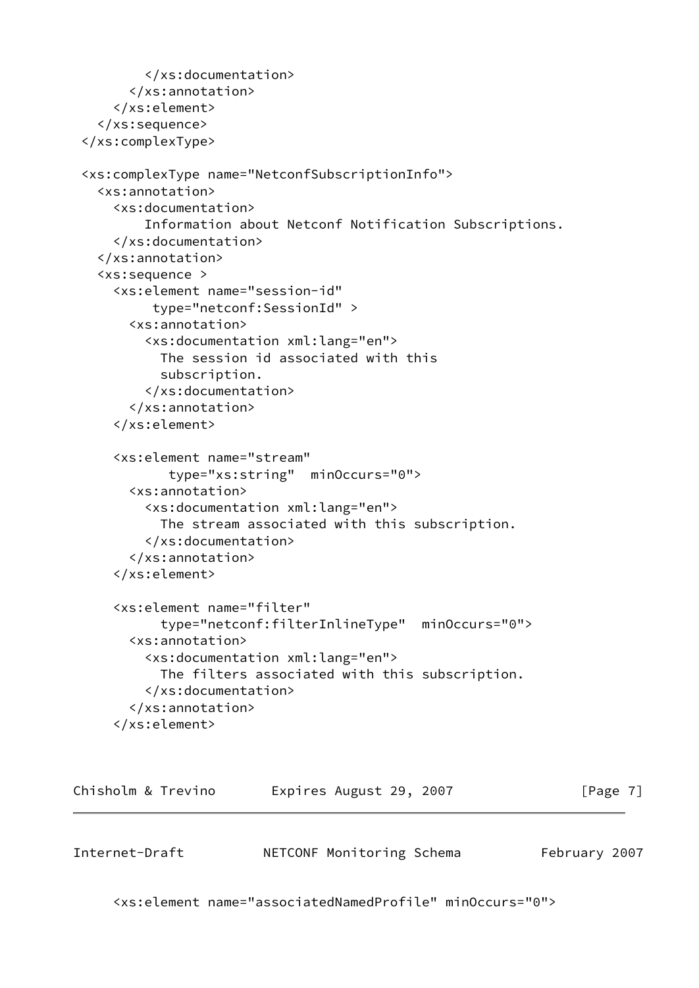```
 </xs:documentation>
       </xs:annotation>
     </xs:element>
   </xs:sequence>
 </xs:complexType>
 <xs:complexType name="NetconfSubscriptionInfo">
   <xs:annotation>
     <xs:documentation>
         Information about Netconf Notification Subscriptions.
     </xs:documentation>
   </xs:annotation>
   <xs:sequence >
     <xs:element name="session-id"
          type="netconf:SessionId" >
       <xs:annotation>
         <xs:documentation xml:lang="en">
           The session id associated with this
           subscription.
         </xs:documentation>
       </xs:annotation>
     </xs:element>
     <xs:element name="stream"
            type="xs:string" minOccurs="0">
       <xs:annotation>
         <xs:documentation xml:lang="en">
           The stream associated with this subscription.
         </xs:documentation>
       </xs:annotation>
     </xs:element>
     <xs:element name="filter"
           type="netconf:filterInlineType" minOccurs="0">
       <xs:annotation>
         <xs:documentation xml:lang="en">
           The filters associated with this subscription.
         </xs:documentation>
       </xs:annotation>
     </xs:element>
```

| Chisholm & Trevino | Expires August 29, 2007 |  | [Page 7] |
|--------------------|-------------------------|--|----------|
|--------------------|-------------------------|--|----------|

Internet-Draft **NETCONF Monitoring Schema** February 2007

<xs:element name="associatedNamedProfile" minOccurs="0">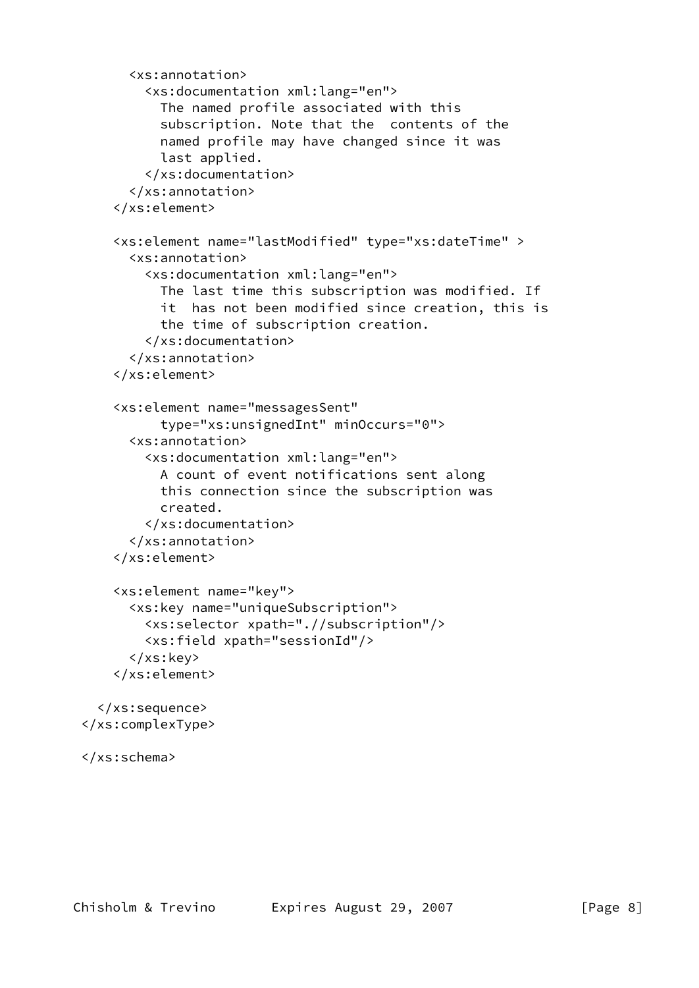```
 <xs:annotation>
         <xs:documentation xml:lang="en">
           The named profile associated with this
           subscription. Note that the contents of the
           named profile may have changed since it was
           last applied.
         </xs:documentation>
       </xs:annotation>
     </xs:element>
     <xs:element name="lastModified" type="xs:dateTime" >
       <xs:annotation>
         <xs:documentation xml:lang="en">
           The last time this subscription was modified. If
           it has not been modified since creation, this is
           the time of subscription creation.
         </xs:documentation>
       </xs:annotation>
     </xs:element>
     <xs:element name="messagesSent"
           type="xs:unsignedInt" minOccurs="0">
       <xs:annotation>
         <xs:documentation xml:lang="en">
           A count of event notifications sent along
           this connection since the subscription was
           created.
         </xs:documentation>
       </xs:annotation>
     </xs:element>
     <xs:element name="key">
       <xs:key name="uniqueSubscription">
         <xs:selector xpath=".//subscription"/>
         <xs:field xpath="sessionId"/>
       </xs:key>
     </xs:element>
   </xs:sequence>
 </xs:complexType>
```

```
 </xs:schema>
```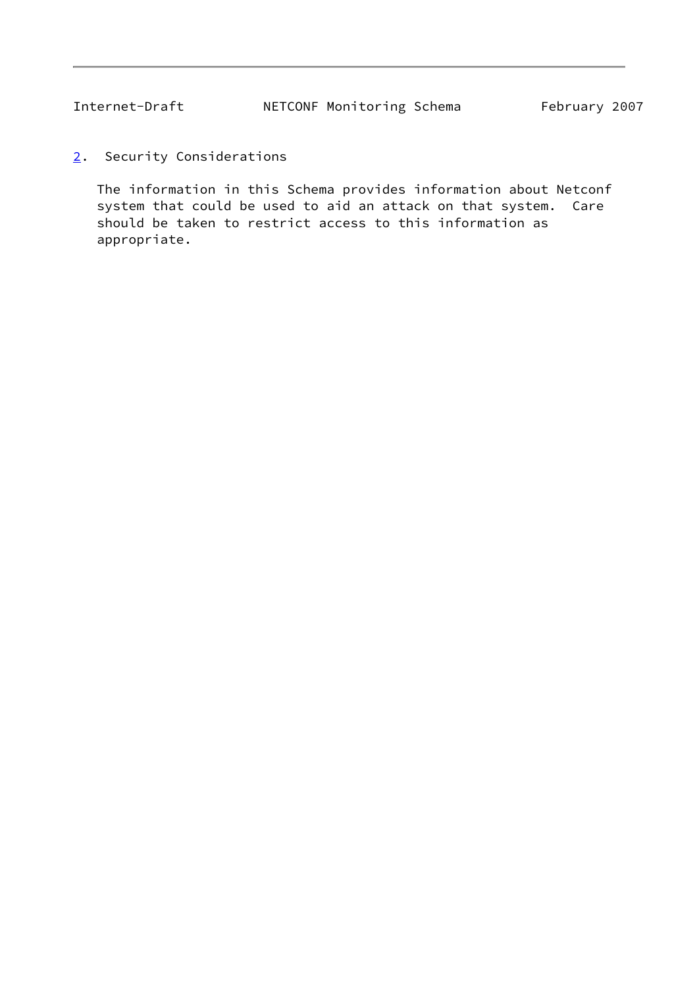<span id="page-9-1"></span><span id="page-9-0"></span>[2](#page-9-0). Security Considerations

 The information in this Schema provides information about Netconf system that could be used to aid an attack on that system. Care should be taken to restrict access to this information as appropriate.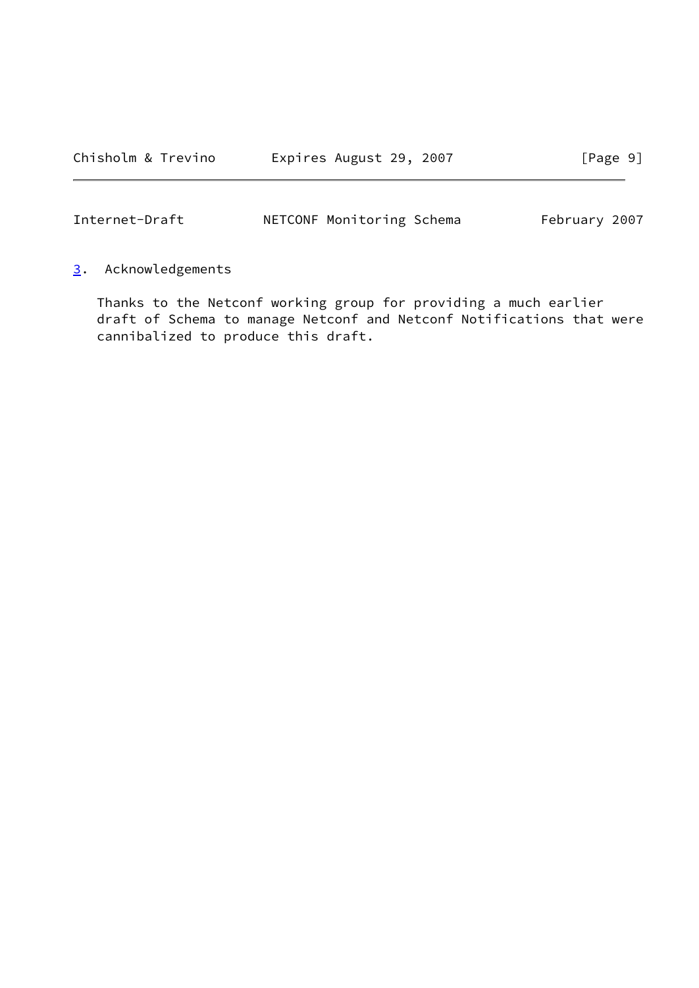<span id="page-10-1"></span>Internet-Draft **NETCONF Monitoring Schema** February 2007

# <span id="page-10-0"></span>[3](#page-10-0). Acknowledgements

 Thanks to the Netconf working group for providing a much earlier draft of Schema to manage Netconf and Netconf Notifications that were cannibalized to produce this draft.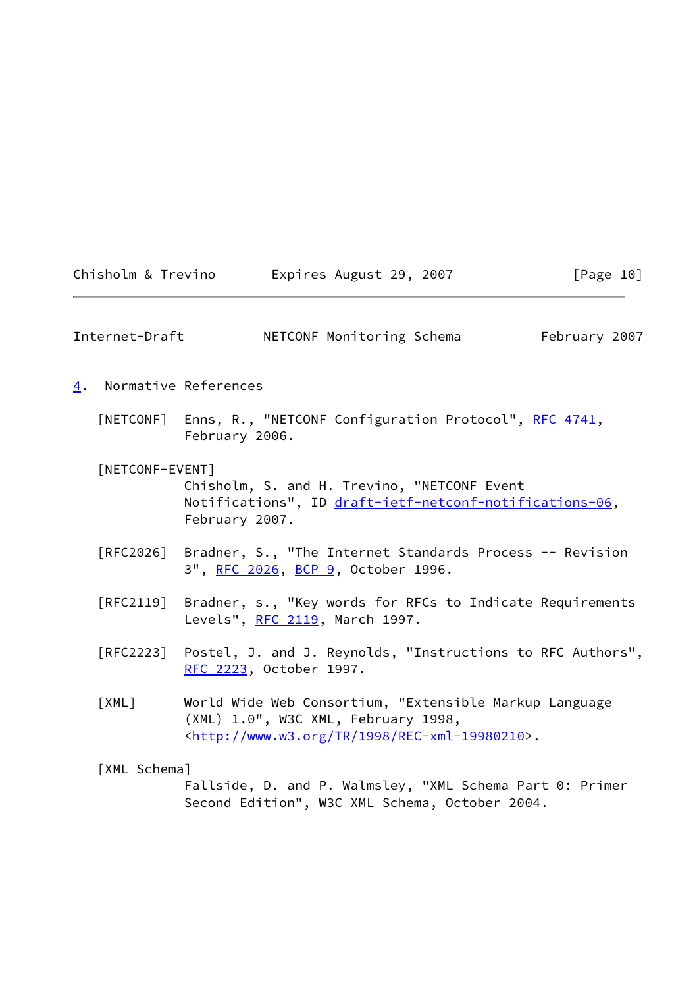<span id="page-11-2"></span><span id="page-11-1"></span><span id="page-11-0"></span>

|    | Chisholm & Trevino | Expires August 29, 2007                                                                                                                                           | [Page 10]     |
|----|--------------------|-------------------------------------------------------------------------------------------------------------------------------------------------------------------|---------------|
|    | Internet-Draft     | NETCONF Monitoring Schema                                                                                                                                         | February 2007 |
| 4. |                    | Normative References                                                                                                                                              |               |
|    | [NETCONF]          | Enns, R., "NETCONF Configuration Protocol", RFC 4741,<br>February 2006.                                                                                           |               |
|    | [NETCONF-EVENT]    | Chisholm, S. and H. Trevino, "NETCONF Event<br>Notifications", ID draft-ietf-netconf-notifications-06,<br>February 2007.                                          |               |
|    | [RFC2026]          | Bradner, S., "The Internet Standards Process -- Revision<br>3", RFC 2026, BCP 9, October 1996.                                                                    |               |
|    | [RFC2119]          | Bradner, s., "Key words for RFCs to Indicate Requirements<br>Levels", RFC 2119, March 1997.                                                                       |               |
|    | [RFC2223]          | Postel, J. and J. Reynolds, "Instructions to RFC Authors",<br>RFC 2223, October 1997.                                                                             |               |
|    | [XML]              | World Wide Web Consortium, "Extensible Markup Language<br>(XML) 1.0", W3C XML, February 1998,<br><http: 1998="" rec-xml-19980210="" tr="" www.w3.org="">.</http:> |               |
|    | [XML Schema]       | Fallside, D. and P. Walmsley, "XML Schema Part 0: Primer<br>Second Edition", W3C XML Schema, October 2004.                                                        |               |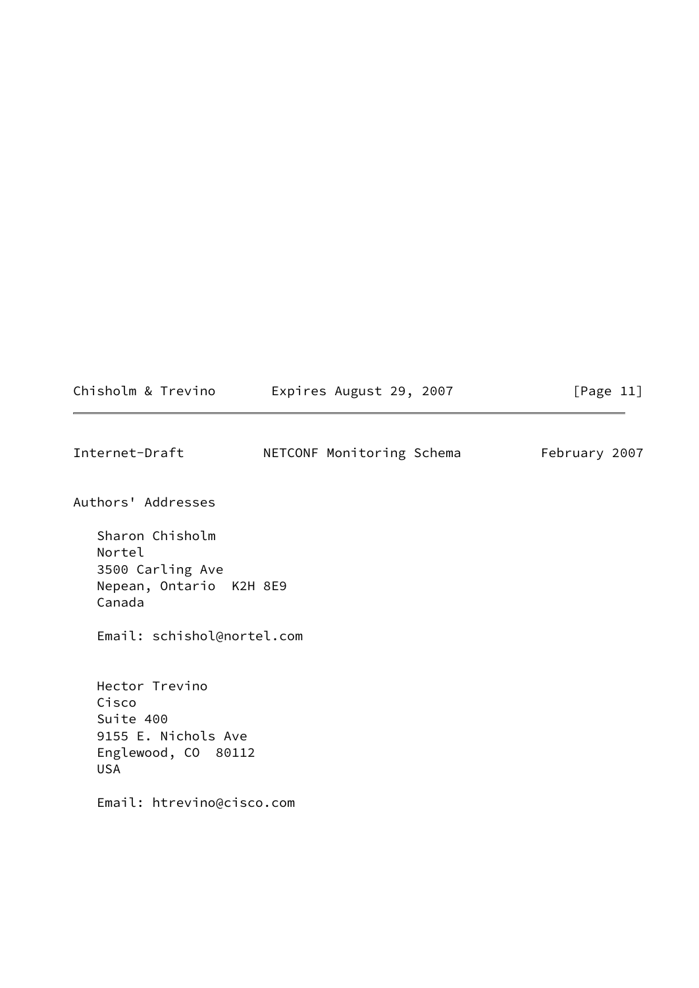<span id="page-12-0"></span>

| Chisholm & Trevino                                                                               | Expires August 29, 2007   | [Page 11]     |
|--------------------------------------------------------------------------------------------------|---------------------------|---------------|
| Internet-Draft                                                                                   | NETCONF Monitoring Schema | February 2007 |
| Authors' Addresses                                                                               |                           |               |
| Sharon Chisholm<br>Nortel<br>3500 Carling Ave<br>Nepean, Ontario K2H 8E9<br>Canada               |                           |               |
| Email: schishol@nortel.com                                                                       |                           |               |
| Hector Trevino<br>Cisco<br>Suite 400<br>9155 E. Nichols Ave<br>Englewood, CO 80112<br><b>USA</b> |                           |               |
| Email: htrevino@cisco.com                                                                        |                           |               |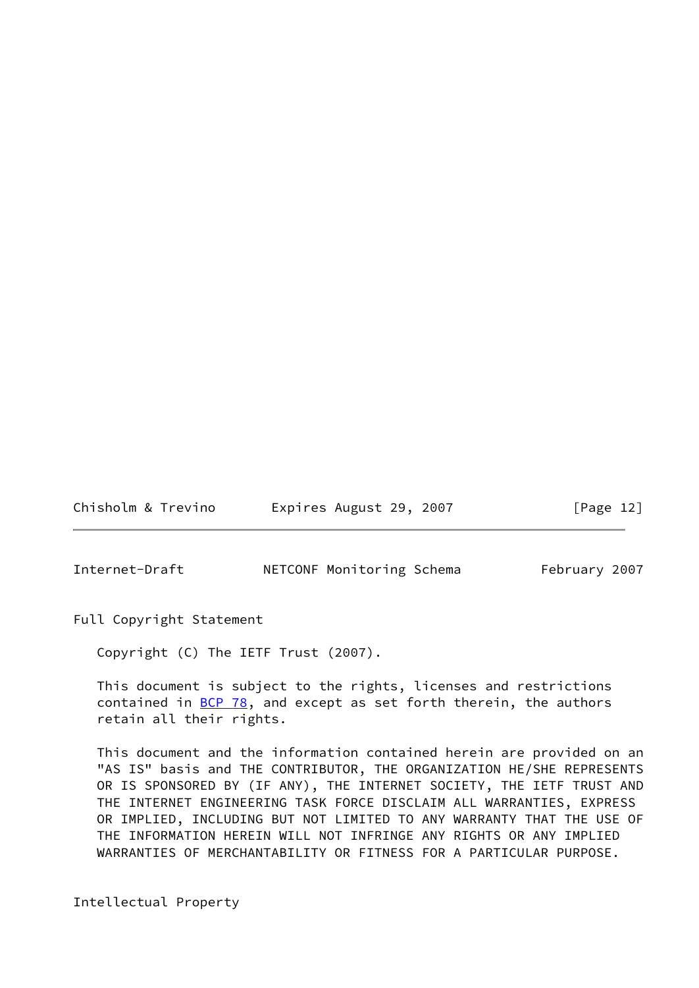Chisholm & Trevino Expires August 29, 2007 [Page 12]

<span id="page-13-0"></span>Internet-Draft **NETCONF Monitoring Schema** February 2007

Full Copyright Statement

Copyright (C) The IETF Trust (2007).

 This document is subject to the rights, licenses and restrictions contained in  $BCP$  78, and except as set forth therein, the authors retain all their rights.

 This document and the information contained herein are provided on an "AS IS" basis and THE CONTRIBUTOR, THE ORGANIZATION HE/SHE REPRESENTS OR IS SPONSORED BY (IF ANY), THE INTERNET SOCIETY, THE IETF TRUST AND THE INTERNET ENGINEERING TASK FORCE DISCLAIM ALL WARRANTIES, EXPRESS OR IMPLIED, INCLUDING BUT NOT LIMITED TO ANY WARRANTY THAT THE USE OF THE INFORMATION HEREIN WILL NOT INFRINGE ANY RIGHTS OR ANY IMPLIED WARRANTIES OF MERCHANTABILITY OR FITNESS FOR A PARTICULAR PURPOSE.

Intellectual Property